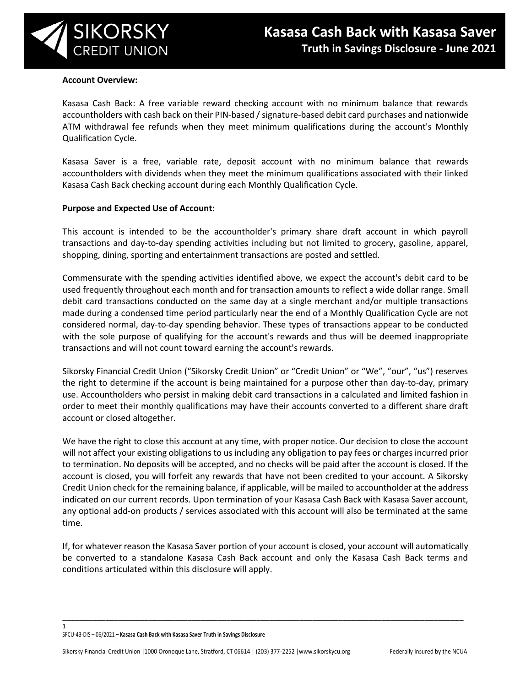

#### **Account Overview:**

Kasasa Cash Back: A free variable reward checking account with no minimum balance that rewards accountholders with cash back on their PIN-based / signature-based debit card purchases and nationwide ATM withdrawal fee refunds when they meet minimum qualifications during the account's Monthly Qualification Cycle.

Kasasa Saver is a free, variable rate, deposit account with no minimum balance that rewards accountholders with dividends when they meet the minimum qualifications associated with their linked Kasasa Cash Back checking account during each Monthly Qualification Cycle.

### **Purpose and Expected Use of Account:**

This account is intended to be the accountholder's primary share draft account in which payroll transactions and day-to-day spending activities including but not limited to grocery, gasoline, apparel, shopping, dining, sporting and entertainment transactions are posted and settled.

Commensurate with the spending activities identified above, we expect the account's debit card to be used frequently throughout each month and for transaction amounts to reflect a wide dollar range. Small debit card transactions conducted on the same day at a single merchant and/or multiple transactions made during a condensed time period particularly near the end of a Monthly Qualification Cycle are not considered normal, day-to-day spending behavior. These types of transactions appear to be conducted with the sole purpose of qualifying for the account's rewards and thus will be deemed inappropriate transactions and will not count toward earning the account's rewards.

Sikorsky Financial Credit Union ("Sikorsky Credit Union" or "Credit Union" or "We", "our", "us") reserves the right to determine if the account is being maintained for a purpose other than day-to-day, primary use. Accountholders who persist in making debit card transactions in a calculated and limited fashion in order to meet their monthly qualifications may have their accounts converted to a different share draft account or closed altogether.

We have the right to close this account at any time, with proper notice. Our decision to close the account will not affect your existing obligations to us including any obligation to pay fees or charges incurred prior to termination. No deposits will be accepted, and no checks will be paid after the account is closed. If the account is closed, you will forfeit any rewards that have not been credited to your account. A Sikorsky Credit Union check for the remaining balance, if applicable, will be mailed to accountholder at the address indicated on our current records. Upon termination of your Kasasa Cash Back with Kasasa Saver account, any optional add-on products / services associated with this account will also be terminated at the same time.

If, for whatever reason the Kasasa Saver portion of your account is closed, your account will automatically be converted to a standalone Kasasa Cash Back account and only the Kasasa Cash Back terms and conditions articulated within this disclosure will apply.

\_\_\_\_\_\_\_\_\_\_\_\_\_\_\_\_\_\_\_\_\_\_\_\_\_\_\_\_\_\_\_\_\_\_\_\_\_\_\_\_\_\_\_\_\_\_\_\_\_\_\_\_\_\_\_\_\_\_\_\_\_\_\_\_\_\_\_\_\_\_\_\_\_\_\_\_\_\_\_\_\_\_\_\_\_\_\_\_\_\_\_\_\_

SFCU-43-DIS – 06/2021 **– Kasasa Cash Back with Kasasa Saver Truth in Savings Disclosure**

1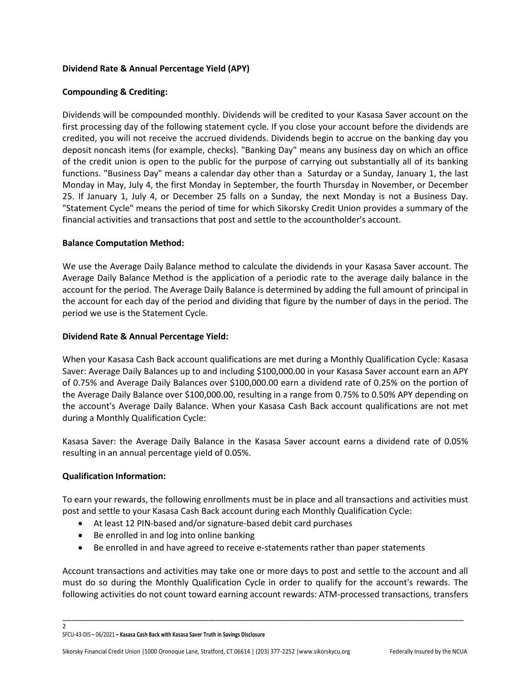# **Dividend Rate & Annual Percentage Yield (APY)**

### **Compounding & Crediting:**

Dividends will be compounded monthly. Dividends will be credited to your Kasasa Saver account on the first processing day of the following statement cycle. If you close your account before the dividends are credited, you will not receive the accrued dividends. Dividends begin to accrue on the banking day you deposit noncash items (for example, checks). "Banking Day" means any business day on which an office of the credit union is open to the public for the purpose of carrying out substantially all of its banking functions. "Business Day" means a calendar day other than a Saturday or a Sunday, January 1, the last Monday in May, July 4, the first Monday in September, the fourth Thursday in November, or December 25. If January 1, July 4, or December 25 falls on a Sunday, the next Monday is not a Business Day. "Statement Cycle" means the period of time for which Sikorsky Credit Union provides a summary of the financial activities and transactions that post and settle to the accountholder's account.

### **Balance Computation Method:**

We use the Average Daily Balance method to calculate the dividends in your Kasasa Saver account. The Average Daily Balance Method is the application of a periodic rate to the average daily balance in the account for the period. The Average Daily Balance is determined by adding the full amount of principal in the account for each day of the period and dividing that figure by the number of days in the period. The period we use is the Statement Cycle.

### **Dividend Rate & Annual Percentage Yield:**

When your Kasasa Cash Back account qualifications are met during a Monthly Qualification Cycle: Kasasa Saver: Average Daily Balances up to and including \$100,000.00 in your Kasasa Saver account earn an APY of 0.75% and Average Daily Balances over \$100,000.00 earn a dividend rate of 0.25% on the portion of the Average Daily Balance over \$100,000.00, resulting in a range from 0.75% to 0.50% APY depending on the account's Average Daily Balance. When your Kasasa Cash Back account qualifications are not met during a Monthly Qualification Cycle:

Kasasa Saver: the Average Daily Balance in the Kasasa Saver account earns a dividend rate of 0.05% resulting in an annual percentage yield of 0.05%.

# **Qualification Information:**

 $\overline{2}$ 

To earn your rewards, the following enrollments must be in place and all transactions and activities must post and settle to your Kasasa Cash Back account during each Monthly Qualification Cycle:

- At least 12 PIN-based and/or signature-based debit card purchases
- Be enrolled in and log into online banking
- Be enrolled in and have agreed to receive e-statements rather than paper statements

Account transactions and activities may take one or more days to post and settle to the account and all must do so during the Monthly Qualification Cycle in order to qualify for the account's rewards. The following activities do not count toward earning account rewards: ATM-processed transactions, transfers

\_\_\_\_\_\_\_\_\_\_\_\_\_\_\_\_\_\_\_\_\_\_\_\_\_\_\_\_\_\_\_\_\_\_\_\_\_\_\_\_\_\_\_\_\_\_\_\_\_\_\_\_\_\_\_\_\_\_\_\_\_\_\_\_\_\_\_\_\_\_\_\_\_\_\_\_\_\_\_\_\_\_\_\_\_\_\_\_\_\_\_\_\_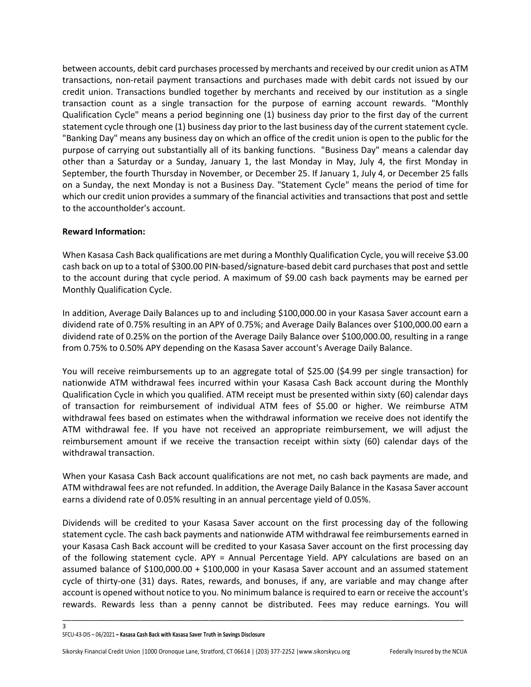between accounts, debit card purchases processed by merchants and received by our credit union as ATM transactions, non-retail payment transactions and purchases made with debit cards not issued by our credit union. Transactions bundled together by merchants and received by our institution as a single transaction count as a single transaction for the purpose of earning account rewards. "Monthly Qualification Cycle" means a period beginning one (1) business day prior to the first day of the current statement cycle through one (1) business day prior to the last business day of the current statement cycle. "Banking Day" means any business day on which an office of the credit union is open to the public for the purpose of carrying out substantially all of its banking functions. "Business Day" means a calendar day other than a Saturday or a Sunday, January 1, the last Monday in May, July 4, the first Monday in September, the fourth Thursday in November, or December 25. If January 1, July 4, or December 25 falls on a Sunday, the next Monday is not a Business Day. "Statement Cycle" means the period of time for which our credit union provides a summary of the financial activities and transactions that post and settle to the accountholder's account.

# **Reward Information:**

When Kasasa Cash Back qualifications are met during a Monthly Qualification Cycle, you will receive \$3.00 cash back on up to a total of \$300.00 PIN-based/signature-based debit card purchases that post and settle to the account during that cycle period. A maximum of \$9.00 cash back payments may be earned per Monthly Qualification Cycle.

In addition, Average Daily Balances up to and including \$100,000.00 in your Kasasa Saver account earn a dividend rate of 0.75% resulting in an APY of 0.75%; and Average Daily Balances over \$100,000.00 earn a dividend rate of 0.25% on the portion of the Average Daily Balance over \$100,000.00, resulting in a range from 0.75% to 0.50% APY depending on the Kasasa Saver account's Average Daily Balance.

You will receive reimbursements up to an aggregate total of \$25.00 (\$4.99 per single transaction) for nationwide ATM withdrawal fees incurred within your Kasasa Cash Back account during the Monthly Qualification Cycle in which you qualified. ATM receipt must be presented within sixty (60) calendar days of transaction for reimbursement of individual ATM fees of \$5.00 or higher. We reimburse ATM withdrawal fees based on estimates when the withdrawal information we receive does not identify the ATM withdrawal fee. If you have not received an appropriate reimbursement, we will adjust the reimbursement amount if we receive the transaction receipt within sixty (60) calendar days of the withdrawal transaction.

When your Kasasa Cash Back account qualifications are not met, no cash back payments are made, and ATM withdrawal fees are not refunded. In addition, the Average Daily Balance in the Kasasa Saver account earns a dividend rate of 0.05% resulting in an annual percentage yield of 0.05%.

Dividends will be credited to your Kasasa Saver account on the first processing day of the following statement cycle. The cash back payments and nationwide ATM withdrawal fee reimbursements earned in your Kasasa Cash Back account will be credited to your Kasasa Saver account on the first processing day of the following statement cycle. APY = Annual Percentage Yield. APY calculations are based on an assumed balance of \$100,000.00 + \$100,000 in your Kasasa Saver account and an assumed statement cycle of thirty-one (31) days. Rates, rewards, and bonuses, if any, are variable and may change after account is opened without notice to you. No minimum balance is required to earn or receive the account's rewards. Rewards less than a penny cannot be distributed. Fees may reduce earnings. You will

\_\_\_\_\_\_\_\_\_\_\_\_\_\_\_\_\_\_\_\_\_\_\_\_\_\_\_\_\_\_\_\_\_\_\_\_\_\_\_\_\_\_\_\_\_\_\_\_\_\_\_\_\_\_\_\_\_\_\_\_\_\_\_\_\_\_\_\_\_\_\_\_\_\_\_\_\_\_\_\_\_\_\_\_\_\_\_\_\_\_\_\_\_

3

SFCU-43-DIS – 06/2021 **– Kasasa Cash Back with Kasasa Saver Truth in Savings Disclosure**